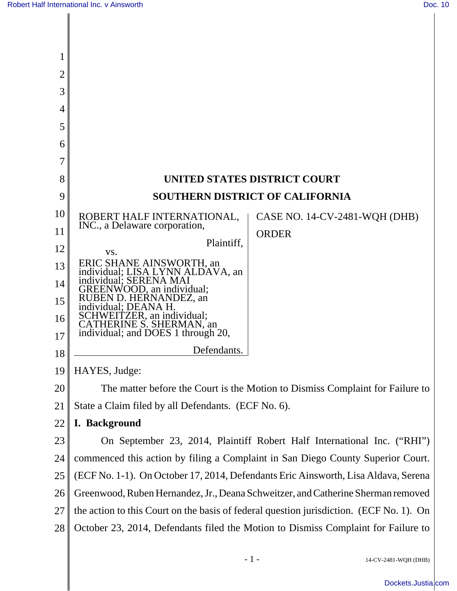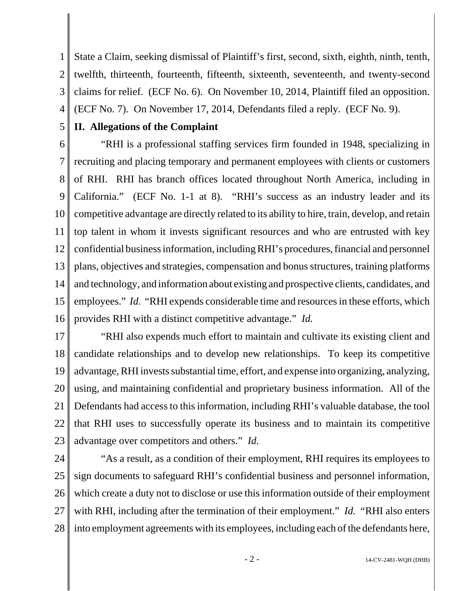1 2 3 4 State a Claim, seeking dismissal of Plaintiff's first, second, sixth, eighth, ninth, tenth, twelfth, thirteenth, fourteenth, fifteenth, sixteenth, seventeenth, and twenty-second claims for relief. (ECF No. 6). On November 10, 2014, Plaintiff filed an opposition. (ECF No. 7). On November 17, 2014, Defendants filed a reply. (ECF No. 9).

### **II. Allegations of the Complaint**

5

6 7 8 9 10 11 12 13 14 15 16 "RHI is a professional staffing services firm founded in 1948, specializing in recruiting and placing temporary and permanent employees with clients or customers of RHI. RHI has branch offices located throughout North America, including in California." (ECF No. 1-1 at 8). "RHI's success as an industry leader and its competitive advantage are directly related to its ability to hire, train, develop, and retain top talent in whom it invests significant resources and who are entrusted with key confidential business information, including RHI's procedures, financial and personnel plans, objectives and strategies, compensation and bonus structures, training platforms and technology, and information about existing and prospective clients, candidates, and employees." *Id.* "RHI expends considerable time and resources in these efforts, which provides RHI with a distinct competitive advantage." *Id.* 

17 18 19 20 21 22 23 "RHI also expends much effort to maintain and cultivate its existing client and candidate relationships and to develop new relationships. To keep its competitive advantage, RHI invests substantial time, effort, and expense into organizing, analyzing, using, and maintaining confidential and proprietary business information. All of the Defendants had access to this information, including RHI's valuable database, the tool that RHI uses to successfully operate its business and to maintain its competitive advantage over competitors and others." *Id.*

24 25 26 27 28 "As a result, as a condition of their employment, RHI requires its employees to sign documents to safeguard RHI's confidential business and personnel information, which create a duty not to disclose or use this information outside of their employment with RHI, including after the termination of their employment." *Id.* "RHI also enters into employment agreements with its employees, including each of the defendants here,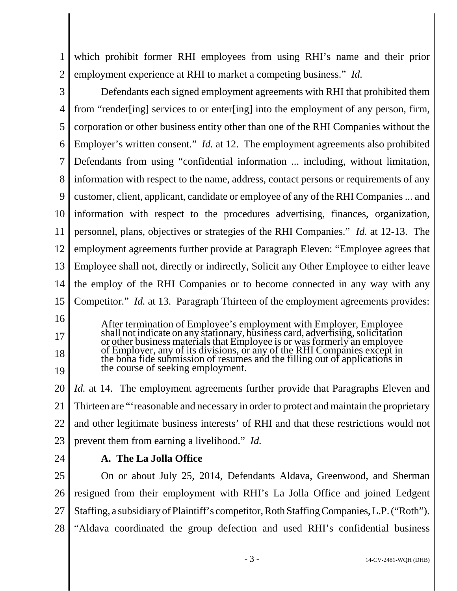1 2 which prohibit former RHI employees from using RHI's name and their prior employment experience at RHI to market a competing business." *Id.*

3 4 5 6 7 8 9 10 11 12 13 14 15 16 Defendants each signed employment agreements with RHI that prohibited them from "render[ing] services to or enter[ing] into the employment of any person, firm, corporation or other business entity other than one of the RHI Companies without the Employer's written consent." *Id.* at 12. The employment agreements also prohibited Defendants from using "confidential information ... including, without limitation, information with respect to the name, address, contact persons or requirements of any customer, client, applicant, candidate or employee of any of the RHI Companies ... and information with respect to the procedures advertising, finances, organization, personnel, plans, objectives or strategies of the RHI Companies." *Id.* at 12-13. The employment agreements further provide at Paragraph Eleven: "Employee agrees that Employee shall not, directly or indirectly, Solicit any Other Employee to either leave the employ of the RHI Companies or to become connected in any way with any Competitor." *Id.* at 13. Paragraph Thirteen of the employment agreements provides:

After termination of Employee's employment with Employer, Employee shall not indicate on any stationary, business card, advertising, solicitation or other business materials that Employee is or was formerly an employee of Employer, any of its divisions, or any of the RHI Companies except in the bona fide submission of resumes and the filling out of applications in the course of seeking employment.

20 21 22 23 *Id.* at 14. The employment agreements further provide that Paragraphs Eleven and Thirteen are "'reasonable and necessary in order to protect and maintain the proprietary and other legitimate business interests' of RHI and that these restrictions would not prevent them from earning a livelihood." *Id.*

24

17

18

19

### **A. The La Jolla Office**

25 26 27 28 On or about July 25, 2014, Defendants Aldava, Greenwood, and Sherman resigned from their employment with RHI's La Jolla Office and joined Ledgent Staffing, a subsidiary of Plaintiff's competitor, Roth Staffing Companies, L.P. ("Roth"). "Aldava coordinated the group defection and used RHI's confidential business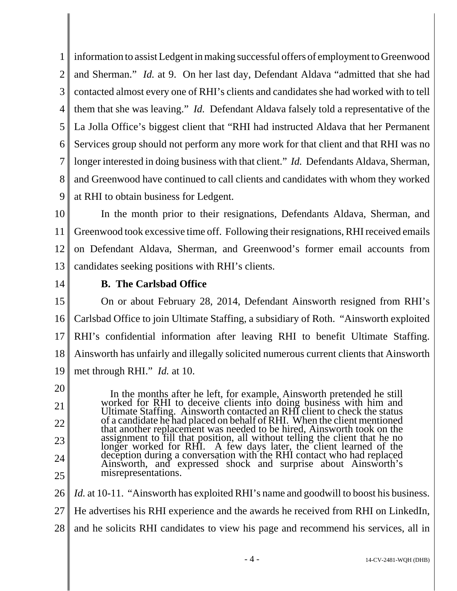1 2 3 4 5 6 7 8 9 information to assist Ledgent in making successful offers of employment to Greenwood and Sherman." *Id.* at 9. On her last day, Defendant Aldava "admitted that she had contacted almost every one of RHI's clients and candidates she had worked with to tell them that she was leaving." *Id.* Defendant Aldava falsely told a representative of the La Jolla Office's biggest client that "RHI had instructed Aldava that her Permanent Services group should not perform any more work for that client and that RHI was no longer interested in doing business with that client." *Id.* Defendants Aldava, Sherman, and Greenwood have continued to call clients and candidates with whom they worked at RHI to obtain business for Ledgent.

10 11 12 13 In the month prior to their resignations, Defendants Aldava, Sherman, and Greenwood took excessive time off. Following their resignations, RHI received emails on Defendant Aldava, Sherman, and Greenwood's former email accounts from candidates seeking positions with RHI's clients.

14

### **B. The Carlsbad Office**

15 16 17 18 19 On or about February 28, 2014, Defendant Ainsworth resigned from RHI's Carlsbad Office to join Ultimate Staffing, a subsidiary of Roth. "Ainsworth exploited RHI's confidential information after leaving RHI to benefit Ultimate Staffing. Ainsworth has unfairly and illegally solicited numerous current clients that Ainsworth met through RHI." *Id.* at 10.

20

21

22

23

24

25

 In the months after he left, for example, Ainsworth pretended he still worked for RHI to deceive clients into doing business with him and Ultimate Staffing. Ainsworth contacted an RHI client to check the status of a candidate he had placed on behalf of RHI. When the client mentioned that another replacement was needed to be hired, Ainsworth took on the assignment to fill that position, all without telling the client that he no longer worked for RHI. A few days later, the client learned of the deception during a conversation with the RHI contact who had replaced Ainsworth, and expressed shock and surprise about Ainsworth's misrepresentations.

26 27 28 *Id.* at 10-11. "Ainsworth has exploited RHI's name and goodwill to boost his business. He advertises his RHI experience and the awards he received from RHI on LinkedIn, and he solicits RHI candidates to view his page and recommend his services, all in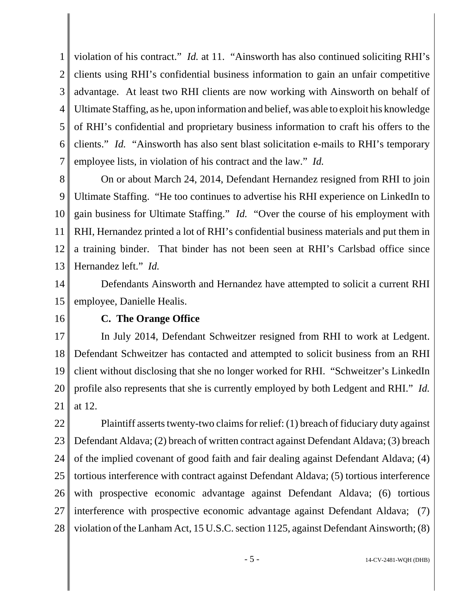1 2 3 4 5 6 7 violation of his contract." *Id.* at 11. "Ainsworth has also continued soliciting RHI's clients using RHI's confidential business information to gain an unfair competitive advantage. At least two RHI clients are now working with Ainsworth on behalf of Ultimate Staffing, as he, upon information and belief, was able to exploit his knowledge of RHI's confidential and proprietary business information to craft his offers to the clients." *Id.* "Ainsworth has also sent blast solicitation e-mails to RHI's temporary employee lists, in violation of his contract and the law." *Id.*

8 9 10 11 12 13 On or about March 24, 2014, Defendant Hernandez resigned from RHI to join Ultimate Staffing. "He too continues to advertise his RHI experience on LinkedIn to gain business for Ultimate Staffing." *Id.* "Over the course of his employment with RHI, Hernandez printed a lot of RHI's confidential business materials and put them in a training binder. That binder has not been seen at RHI's Carlsbad office since Hernandez left." *Id.*

14 15 Defendants Ainsworth and Hernandez have attempted to solicit a current RHI employee, Danielle Healis.

16

### **C. The Orange Office**

17 18 19 20 21 In July 2014, Defendant Schweitzer resigned from RHI to work at Ledgent. Defendant Schweitzer has contacted and attempted to solicit business from an RHI client without disclosing that she no longer worked for RHI. "Schweitzer's LinkedIn profile also represents that she is currently employed by both Ledgent and RHI." *Id.* at 12.

22 23 24 25 26 27 28 Plaintiff asserts twenty-two claims for relief: (1) breach of fiduciary duty against Defendant Aldava; (2) breach of written contract against Defendant Aldava; (3) breach of the implied covenant of good faith and fair dealing against Defendant Aldava; (4) tortious interference with contract against Defendant Aldava; (5) tortious interference with prospective economic advantage against Defendant Aldava; (6) tortious interference with prospective economic advantage against Defendant Aldava; (7) violation of the Lanham Act, 15 U.S.C. section 1125, against Defendant Ainsworth; (8)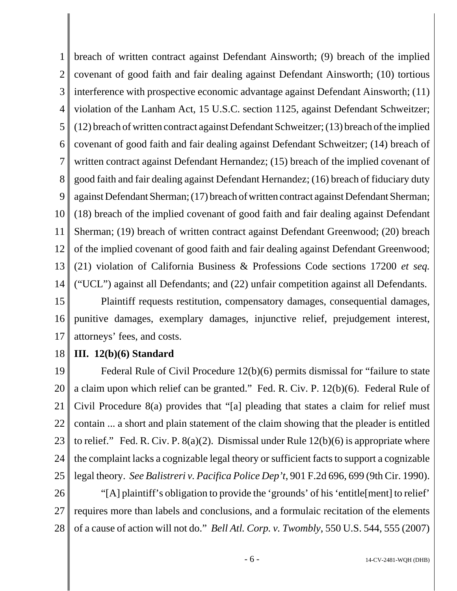1 2 3 4 5 6 7 8 9 10 11 12 13 14 breach of written contract against Defendant Ainsworth; (9) breach of the implied covenant of good faith and fair dealing against Defendant Ainsworth; (10) tortious interference with prospective economic advantage against Defendant Ainsworth; (11) violation of the Lanham Act, 15 U.S.C. section 1125, against Defendant Schweitzer; (12) breach of written contract against Defendant Schweitzer; (13) breach of the implied covenant of good faith and fair dealing against Defendant Schweitzer; (14) breach of written contract against Defendant Hernandez; (15) breach of the implied covenant of good faith and fair dealing against Defendant Hernandez; (16) breach of fiduciary duty against Defendant Sherman; (17) breach of written contract against Defendant Sherman; (18) breach of the implied covenant of good faith and fair dealing against Defendant Sherman; (19) breach of written contract against Defendant Greenwood; (20) breach of the implied covenant of good faith and fair dealing against Defendant Greenwood; (21) violation of California Business & Professions Code sections 17200 *et seq.* ("UCL") against all Defendants; and (22) unfair competition against all Defendants.

15 16 17 Plaintiff requests restitution, compensatory damages, consequential damages, punitive damages, exemplary damages, injunctive relief, prejudgement interest, attorneys' fees, and costs.

#### 18 **III. 12(b)(6) Standard**

19 20 21 22 23 24 25 Federal Rule of Civil Procedure 12(b)(6) permits dismissal for "failure to state a claim upon which relief can be granted." Fed. R. Civ. P. 12(b)(6). Federal Rule of Civil Procedure 8(a) provides that "[a] pleading that states a claim for relief must contain ... a short and plain statement of the claim showing that the pleader is entitled to relief." Fed. R. Civ. P.  $8(a)(2)$ . Dismissal under Rule 12(b)(6) is appropriate where the complaint lacks a cognizable legal theory or sufficient facts to support a cognizable legal theory. *See Balistreri v. Pacifica Police Dep't*, 901 F.2d 696, 699 (9th Cir. 1990).

26 27 28 "[A] plaintiff's obligation to provide the 'grounds' of his 'entitle[ment] to relief' requires more than labels and conclusions, and a formulaic recitation of the elements of a cause of action will not do." *Bell Atl. Corp. v. Twombly*, 550 U.S. 544, 555 (2007)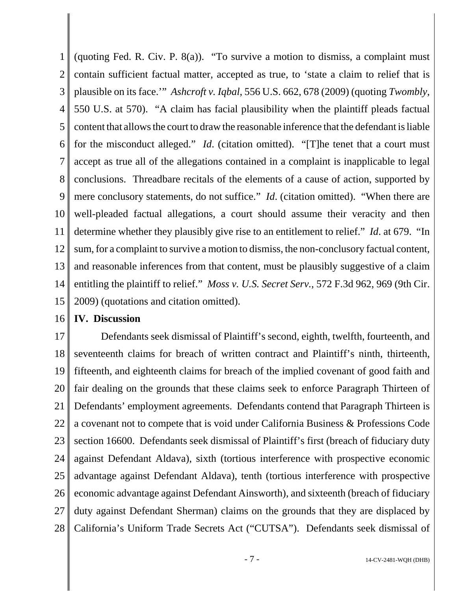1 2 3 4 5 6 7 8 9 10 11 12 13 14 15 (quoting Fed. R. Civ. P. 8(a)). "To survive a motion to dismiss, a complaint must contain sufficient factual matter, accepted as true, to 'state a claim to relief that is plausible on its face.'" *Ashcroft v. Iqbal*, 556 U.S. 662, 678 (2009) (quoting *Twombly*, 550 U.S. at 570). "A claim has facial plausibility when the plaintiff pleads factual content that allows the court to draw the reasonable inference that the defendant is liable for the misconduct alleged." *Id*. (citation omitted). "[T]he tenet that a court must accept as true all of the allegations contained in a complaint is inapplicable to legal conclusions. Threadbare recitals of the elements of a cause of action, supported by mere conclusory statements, do not suffice." *Id.* (citation omitted). "When there are well-pleaded factual allegations, a court should assume their veracity and then determine whether they plausibly give rise to an entitlement to relief." *Id*. at 679. "In sum, for a complaint to survive a motion to dismiss, the non-conclusory factual content, and reasonable inferences from that content, must be plausibly suggestive of a claim entitling the plaintiff to relief." *Moss v. U.S. Secret Serv.*, 572 F.3d 962, 969 (9th Cir. 2009) (quotations and citation omitted).

16 **IV. Discussion**

17 18 19 20 21 22 23 24 25 26 27 28 Defendants seek dismissal of Plaintiff's second, eighth, twelfth, fourteenth, and seventeenth claims for breach of written contract and Plaintiff's ninth, thirteenth, fifteenth, and eighteenth claims for breach of the implied covenant of good faith and fair dealing on the grounds that these claims seek to enforce Paragraph Thirteen of Defendants' employment agreements. Defendants contend that Paragraph Thirteen is a covenant not to compete that is void under California Business & Professions Code section 16600. Defendants seek dismissal of Plaintiff's first (breach of fiduciary duty against Defendant Aldava), sixth (tortious interference with prospective economic advantage against Defendant Aldava), tenth (tortious interference with prospective economic advantage against Defendant Ainsworth), and sixteenth (breach of fiduciary duty against Defendant Sherman) claims on the grounds that they are displaced by California's Uniform Trade Secrets Act ("CUTSA"). Defendants seek dismissal of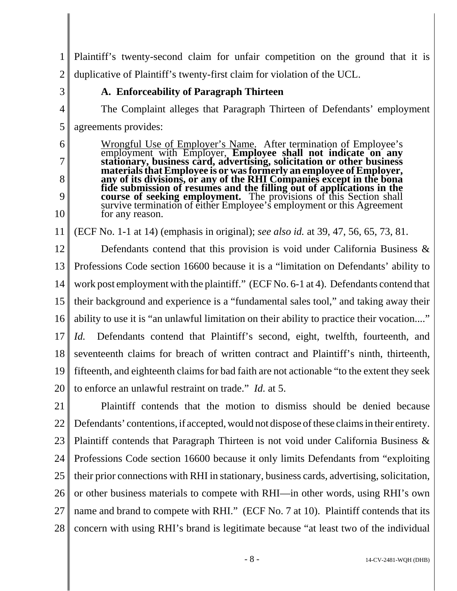1 2 Plaintiff's twenty-second claim for unfair competition on the ground that it is duplicative of Plaintiff's twenty-first claim for violation of the UCL.

3

4

5

6

7

8

9

10

### **A. Enforceability of Paragraph Thirteen**

The Complaint alleges that Paragraph Thirteen of Defendants' employment agreements provides:

Wrongful Use of Employer's Name. After termination of Employee's employment with Employer, **Employee shall not indicate on any stationary, business card, advertising, solicitation or other business materials that Employee is or was formerly an employee of Employer, any of its divisions, or any of the RHI Companies except in the bona fide submission of resumes and the filling out of applications in the course of seeking employment.** The provisions of this Section shall survive termination of either Employee's employment or this Agreement for any reason.

11 (ECF No. 1-1 at 14) (emphasis in original); *see also id.* at 39, 47, 56, 65, 73, 81.

12 13 14 15 16 17 18 19 20 Defendants contend that this provision is void under California Business & Professions Code section 16600 because it is a "limitation on Defendants' ability to work post employment with the plaintiff." (ECF No. 6-1 at 4). Defendants contend that their background and experience is a "fundamental sales tool," and taking away their ability to use it is "an unlawful limitation on their ability to practice their vocation...." *Id.* Defendants contend that Plaintiff's second, eight, twelfth, fourteenth, and seventeenth claims for breach of written contract and Plaintiff's ninth, thirteenth, fifteenth, and eighteenth claims for bad faith are not actionable "to the extent they seek to enforce an unlawful restraint on trade." *Id.* at 5.

21 22 23 24 25 26 27 28 Plaintiff contends that the motion to dismiss should be denied because Defendants' contentions, if accepted, would not dispose of these claims in their entirety. Plaintiff contends that Paragraph Thirteen is not void under California Business & Professions Code section 16600 because it only limits Defendants from "exploiting their prior connections with RHI in stationary, business cards, advertising, solicitation, or other business materials to compete with RHI—in other words, using RHI's own name and brand to compete with RHI." (ECF No. 7 at 10). Plaintiff contends that its concern with using RHI's brand is legitimate because "at least two of the individual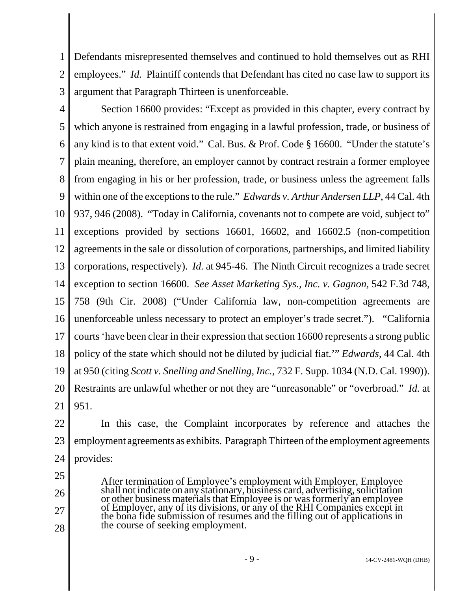1 2 Defendants misrepresented themselves and continued to hold themselves out as RHI employees." *Id.* Plaintiff contends that Defendant has cited no case law to support its argument that Paragraph Thirteen is unenforceable.

3

4 5 6 7 8 9 10 11 12 13 14 15 16 17 18 19 20 21 Section 16600 provides: "Except as provided in this chapter, every contract by which anyone is restrained from engaging in a lawful profession, trade, or business of any kind is to that extent void." Cal. Bus. & Prof. Code § 16600. "Under the statute's plain meaning, therefore, an employer cannot by contract restrain a former employee from engaging in his or her profession, trade, or business unless the agreement falls within one of the exceptions to the rule." *Edwards v. Arthur Andersen LLP*, 44 Cal. 4th 937, 946 (2008). "Today in California, covenants not to compete are void, subject to" exceptions provided by sections 16601, 16602, and 16602.5 (non-competition agreements in the sale or dissolution of corporations, partnerships, and limited liability corporations, respectively). *Id.* at 945-46. The Ninth Circuit recognizes a trade secret exception to section 16600. *See Asset Marketing Sys., Inc. v. Gagnon*, 542 F.3d 748, 758 (9th Cir. 2008) ("Under California law, non-competition agreements are unenforceable unless necessary to protect an employer's trade secret."). "California courts 'have been clear in their expression that section 16600 represents a strong public policy of the state which should not be diluted by judicial fiat.'" *Edwards*, 44 Cal. 4th at 950 (citing *Scott v. Snelling and Snelling, Inc.*, 732 F. Supp. 1034 (N.D. Cal. 1990)). Restraints are unlawful whether or not they are "unreasonable" or "overbroad." *Id.* at 951.

- 22 23 24 In this case, the Complaint incorporates by reference and attaches the employment agreements as exhibits. Paragraph Thirteen of the employment agreements provides:
- 25

26

- 27
- 
- 28

After termination of Employee's employment with Employer, Employee shall not indicate on any stationary, business card, advertising, solicitation or other business materials that Employee is or was formerly an employee of Employer, any of its divisions, or any of the RHI Companies except in the bona fide submission of resumes and the filling out of applications in the course of seeking employment.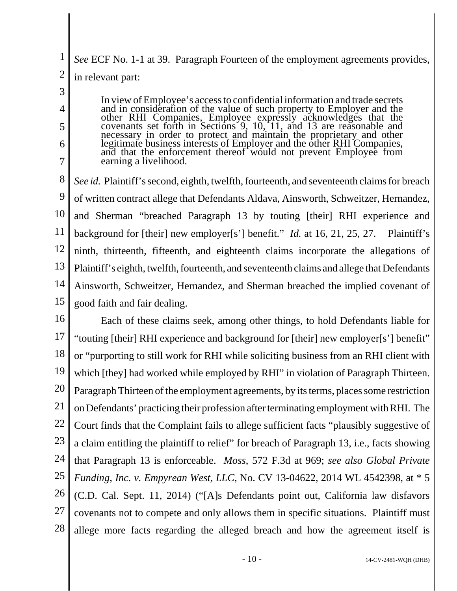1 2 *See* ECF No. 1-1 at 39. Paragraph Fourteen of the employment agreements provides, in relevant part:

3

4

5

6

7

In view of Employee's access to confidential information and trade secrets and in consideration of the value of such property to Employer and the other RHI Companies, Employee expressly acknowledges that the covenants set forth in Sections 9, 10, 11, and 13 are reasonable and necessary in order to protect and maintain the proprietary and other legitimate business interests of Employer and the other RHI Companies, and that the enforcement thereof would not prevent Employee from earning a livelihood.

8 9 10 11 12 13 14 15 *See id.* Plaintiff's second, eighth, twelfth, fourteenth, and seventeenth claims for breach of written contract allege that Defendants Aldava, Ainsworth, Schweitzer, Hernandez, and Sherman "breached Paragraph 13 by touting [their] RHI experience and background for [their] new employer[s'] benefit." *Id.* at 16, 21, 25, 27. Plaintiff's ninth, thirteenth, fifteenth, and eighteenth claims incorporate the allegations of Plaintiff's eighth, twelfth, fourteenth, and seventeenth claims and allege that Defendants Ainsworth, Schweitzer, Hernandez, and Sherman breached the implied covenant of good faith and fair dealing.

16 17 18 19 20 21 22 23 24 25 26 27 28 Each of these claims seek, among other things, to hold Defendants liable for "touting [their] RHI experience and background for [their] new employer[s'] benefit" or "purporting to still work for RHI while soliciting business from an RHI client with which [they] had worked while employed by RHI" in violation of Paragraph Thirteen. Paragraph Thirteen of the employment agreements, by its terms, places some restriction on Defendants' practicing their profession after terminating employment with RHI. The Court finds that the Complaint fails to allege sufficient facts "plausibly suggestive of a claim entitling the plaintiff to relief" for breach of Paragraph 13, i.e., facts showing that Paragraph 13 is enforceable. *Moss*, 572 F.3d at 969; *see also Global Private Funding, Inc. v. Empyrean West, LLC*, No. CV 13-04622, 2014 WL 4542398, at \* 5 (C.D. Cal. Sept. 11, 2014) ("[A]s Defendants point out, California law disfavors covenants not to compete and only allows them in specific situations. Plaintiff must allege more facts regarding the alleged breach and how the agreement itself is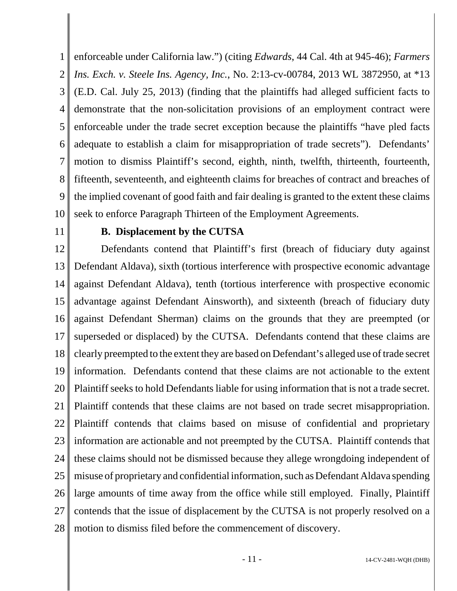1 2 3 4 5 6 7 8 9 10 enforceable under California law.") (citing *Edwards*, 44 Cal. 4th at 945-46); *Farmers Ins. Exch. v. Steele Ins. Agency, Inc.*, No. 2:13-cv-00784, 2013 WL 3872950, at \*13 (E.D. Cal. July 25, 2013) (finding that the plaintiffs had alleged sufficient facts to demonstrate that the non-solicitation provisions of an employment contract were enforceable under the trade secret exception because the plaintiffs "have pled facts adequate to establish a claim for misappropriation of trade secrets"). Defendants' motion to dismiss Plaintiff's second, eighth, ninth, twelfth, thirteenth, fourteenth, fifteenth, seventeenth, and eighteenth claims for breaches of contract and breaches of the implied covenant of good faith and fair dealing is granted to the extent these claims seek to enforce Paragraph Thirteen of the Employment Agreements.

11

#### **B. Displacement by the CUTSA**

12 13 14 15 16 17 18 19 20 21 22 23 24 25 26 27 28 Defendants contend that Plaintiff's first (breach of fiduciary duty against Defendant Aldava), sixth (tortious interference with prospective economic advantage against Defendant Aldava), tenth (tortious interference with prospective economic advantage against Defendant Ainsworth), and sixteenth (breach of fiduciary duty against Defendant Sherman) claims on the grounds that they are preempted (or superseded or displaced) by the CUTSA. Defendants contend that these claims are clearly preempted to the extent they are based on Defendant's alleged use of trade secret information. Defendants contend that these claims are not actionable to the extent Plaintiff seeks to hold Defendants liable for using information that is not a trade secret. Plaintiff contends that these claims are not based on trade secret misappropriation. Plaintiff contends that claims based on misuse of confidential and proprietary information are actionable and not preempted by the CUTSA. Plaintiff contends that these claims should not be dismissed because they allege wrongdoing independent of misuse of proprietary and confidential information, such as Defendant Aldava spending large amounts of time away from the office while still employed. Finally, Plaintiff contends that the issue of displacement by the CUTSA is not properly resolved on a motion to dismiss filed before the commencement of discovery.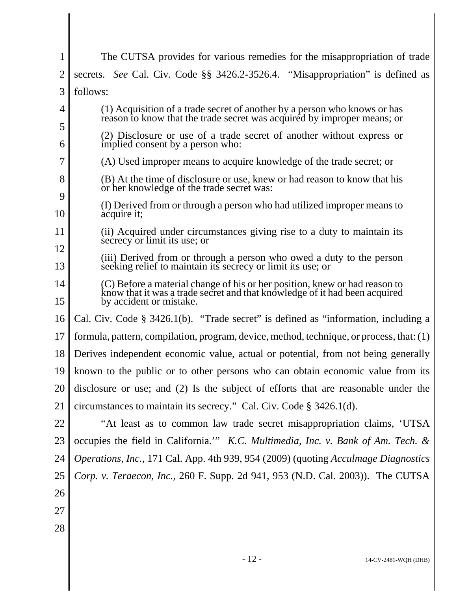|                  | The CUTSA provides for various remedies for the misappropriation of trade                                                                                                           |
|------------------|-------------------------------------------------------------------------------------------------------------------------------------------------------------------------------------|
| 2                | secrets. See Cal. Civ. Code §§ 3426.2-3526.4. "Misappropriation" is defined as                                                                                                      |
| 3                | follows:                                                                                                                                                                            |
| 4                | (1) Acquisition of a trade secret of another by a person who knows or has<br>reason to know that the trade secret was acquired by improper means; or                                |
| 5<br>6           | (2) Disclosure or use of a trade secret of another without express or<br>implied consent by a person who:                                                                           |
| 7                | (A) Used improper means to acquire knowledge of the trade secret; or                                                                                                                |
| 8                | (B) At the time of disclosure or use, knew or had reason to know that his<br>or her knowledge of the trade secret was:                                                              |
| 9<br>10          | (I) Derived from or through a person who had utilized improper means to<br>acquire it;                                                                                              |
| 11               | (ii) Acquired under circumstances giving rise to a duty to maintain its<br>secrecy or limit its use; or                                                                             |
| 12<br>13         | (iii) Derived from or through a person who owed a duty to the person<br>seeking relief to maintain its secrecy or limit its use; or                                                 |
| 14<br>15         | (C) Before a material change of his or her position, knew or had reason to<br>know that it was a trade secret and that knowledge of it had been acquired<br>by accident or mistake. |
| 16               | Cal. Civ. Code $\S$ 3426.1(b). "Trade secret" is defined as "information, including a                                                                                               |
| 17               | formula, pattern, compilation, program, device, method, technique, or process, that: (1)                                                                                            |
| 18               | Derives independent economic value, actual or potential, from not being generally                                                                                                   |
| 19 <sup>  </sup> | known to the public or to other persons who can obtain economic value from its                                                                                                      |
| 20               | disclosure or use; and (2) Is the subject of efforts that are reasonable under the                                                                                                  |
| 21               | circumstances to maintain its secrecy." Cal. Civ. Code § 3426.1(d).                                                                                                                 |
| 22               | "At least as to common law trade secret misappropriation claims, 'UTSA                                                                                                              |
| 23               | occupies the field in California." K.C. Multimedia, Inc. v. Bank of Am. Tech. &                                                                                                     |
| 24               | Operations, Inc., 171 Cal. App. 4th 939, 954 (2009) (quoting Acculmage Diagnostics                                                                                                  |
| 25               | Corp. v. Teraecon, Inc., 260 F. Supp. 2d 941, 953 (N.D. Cal. 2003)). The CUTSA                                                                                                      |
| 26               |                                                                                                                                                                                     |
| 27               |                                                                                                                                                                                     |
| 28               |                                                                                                                                                                                     |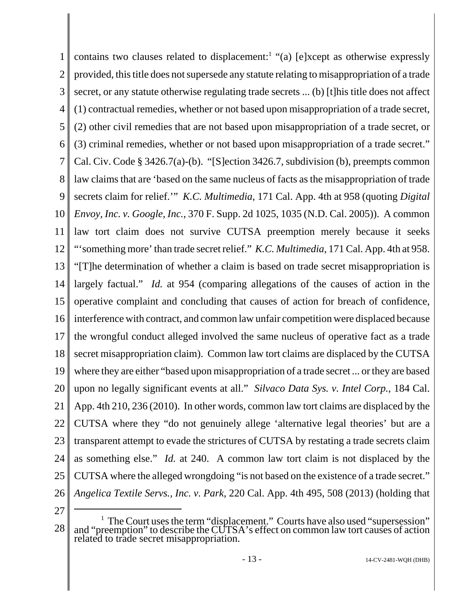1 2 3 4 5 6 7 8 9 10 11 12 13 14 15 16 17 18 19 20 21 22 23 24 25 26 contains two clauses related to displacement:<sup>1</sup> "(a) [e]xcept as otherwise expressly provided, this title does not supersede any statute relating to misappropriation of a trade secret, or any statute otherwise regulating trade secrets ... (b) [t]his title does not affect (1) contractual remedies, whether or not based upon misappropriation of a trade secret, (2) other civil remedies that are not based upon misappropriation of a trade secret, or (3) criminal remedies, whether or not based upon misappropriation of a trade secret." Cal. Civ. Code § 3426.7(a)-(b). "[S]ection 3426.7, subdivision (b), preempts common law claims that are 'based on the same nucleus of facts as the misappropriation of trade secrets claim for relief.'" *K.C. Multimedia*, 171 Cal. App. 4th at 958 (quoting *Digital Envoy, Inc. v. Google, Inc.*, 370 F. Supp. 2d 1025, 1035 (N.D. Cal. 2005)). A common law tort claim does not survive CUTSA preemption merely because it seeks "'something more' than trade secret relief." *K.C. Multimedia*, 171 Cal. App. 4th at 958. "[T]he determination of whether a claim is based on trade secret misappropriation is largely factual." *Id.* at 954 (comparing allegations of the causes of action in the operative complaint and concluding that causes of action for breach of confidence, interference with contract, and common law unfair competition were displaced because the wrongful conduct alleged involved the same nucleus of operative fact as a trade secret misappropriation claim). Common law tort claims are displaced by the CUTSA where they are either "based upon misappropriation of a trade secret ... or they are based upon no legally significant events at all." *Silvaco Data Sys. v. Intel Corp.*, 184 Cal. App. 4th 210, 236 (2010). In other words, common law tort claims are displaced by the CUTSA where they "do not genuinely allege 'alternative legal theories' but are a transparent attempt to evade the strictures of CUTSA by restating a trade secrets claim as something else." *Id.* at 240. A common law tort claim is not displaced by the CUTSA where the alleged wrongdoing "is not based on the existence of a trade secret." *Angelica Textile Servs., Inc. v. Park*, 220 Cal. App. 4th 495, 508 (2013) (holding that

27

<sup>28</sup> <sup>1</sup> The Court uses the term "displacement." Courts have also used "supersession" and "preemption" to describe the CUTSA's effect on common law tort causes of action related to trade secret misappropriation.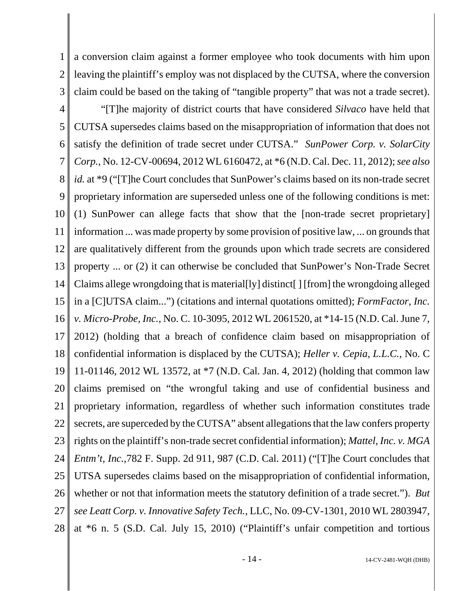1 2 3 a conversion claim against a former employee who took documents with him upon leaving the plaintiff's employ was not displaced by the CUTSA, where the conversion claim could be based on the taking of "tangible property" that was not a trade secret).

4 5 6 7 8 9 10 11 12 13 14 15 16 17 18 19 20 21 22 23 24 25 26 27 28 "[T]he majority of district courts that have considered *Silvaco* have held that CUTSA supersedes claims based on the misappropriation of information that does not satisfy the definition of trade secret under CUTSA." *SunPower Corp. v. SolarCity Corp.*, No. 12-CV-00694, 2012 WL 6160472, at \*6 (N.D. Cal. Dec. 11, 2012); *see also id.* at \*9 ("T]he Court concludes that SunPower's claims based on its non-trade secret proprietary information are superseded unless one of the following conditions is met: (1) SunPower can allege facts that show that the [non-trade secret proprietary] information ... was made property by some provision of positive law, ... on grounds that are qualitatively different from the grounds upon which trade secrets are considered property ... or (2) it can otherwise be concluded that SunPower's Non-Trade Secret Claims allege wrongdoing that is material[ly] distinct[ ] [from] the wrongdoing alleged in a [C]UTSA claim...") (citations and internal quotations omitted); *FormFactor, Inc. v. Micro-Probe, Inc.*, No. C. 10-3095, 2012 WL 2061520, at \*14-15 (N.D. Cal. June 7, 2012) (holding that a breach of confidence claim based on misappropriation of confidential information is displaced by the CUTSA); *Heller v. Cepia, L.L.C.*, No. C 11-01146, 2012 WL 13572, at \*7 (N.D. Cal. Jan. 4, 2012) (holding that common law claims premised on "the wrongful taking and use of confidential business and proprietary information, regardless of whether such information constitutes trade secrets, are superceded by the CUTSA" absent allegations that the law confers property rights on the plaintiff's non-trade secret confidential information); *Mattel, Inc. v. MGA Entm't, Inc.*,782 F. Supp. 2d 911, 987 (C.D. Cal. 2011) ("[T]he Court concludes that UTSA supersedes claims based on the misappropriation of confidential information, whether or not that information meets the statutory definition of a trade secret."). *But see Leatt Corp. v. Innovative Safety Tech.*, LLC, No. 09-CV-1301, 2010 WL 2803947, at \*6 n. 5 (S.D. Cal. July 15, 2010) ("Plaintiff's unfair competition and tortious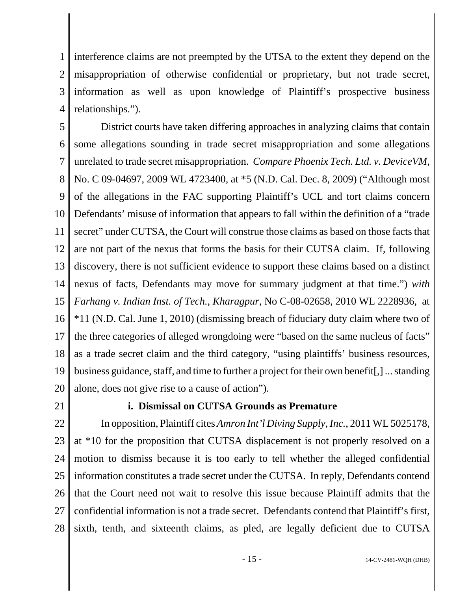1 2 3 4 interference claims are not preempted by the UTSA to the extent they depend on the misappropriation of otherwise confidential or proprietary, but not trade secret, information as well as upon knowledge of Plaintiff's prospective business relationships.").

5 6 7 8 9 10 11 12 13 14 15 16 17 18 19 20 District courts have taken differing approaches in analyzing claims that contain some allegations sounding in trade secret misappropriation and some allegations unrelated to trade secret misappropriation. *Compare Phoenix Tech. Ltd. v. DeviceVM*, No. C 09-04697, 2009 WL 4723400, at \*5 (N.D. Cal. Dec. 8, 2009) ("Although most of the allegations in the FAC supporting Plaintiff's UCL and tort claims concern Defendants' misuse of information that appears to fall within the definition of a "trade secret" under CUTSA, the Court will construe those claims as based on those facts that are not part of the nexus that forms the basis for their CUTSA claim. If, following discovery, there is not sufficient evidence to support these claims based on a distinct nexus of facts, Defendants may move for summary judgment at that time.") *with Farhang v. Indian Inst. of Tech., Kharagpur*, No C-08-02658, 2010 WL 2228936, at \*11 (N.D. Cal. June 1, 2010) (dismissing breach of fiduciary duty claim where two of the three categories of alleged wrongdoing were "based on the same nucleus of facts" as a trade secret claim and the third category, "using plaintiffs' business resources, business guidance, staff, and time to further a project for their own benefit[,] ... standing alone, does not give rise to a cause of action").

21

### **i. Dismissal on CUTSA Grounds as Premature**

22 23 24 25 26 27 28 In opposition, Plaintiff cites *Amron Int'l Diving Supply, Inc.*, 2011 WL 5025178, at \*10 for the proposition that CUTSA displacement is not properly resolved on a motion to dismiss because it is too early to tell whether the alleged confidential information constitutes a trade secret under the CUTSA. In reply, Defendants contend that the Court need not wait to resolve this issue because Plaintiff admits that the confidential information is not a trade secret. Defendants contend that Plaintiff's first, sixth, tenth, and sixteenth claims, as pled, are legally deficient due to CUTSA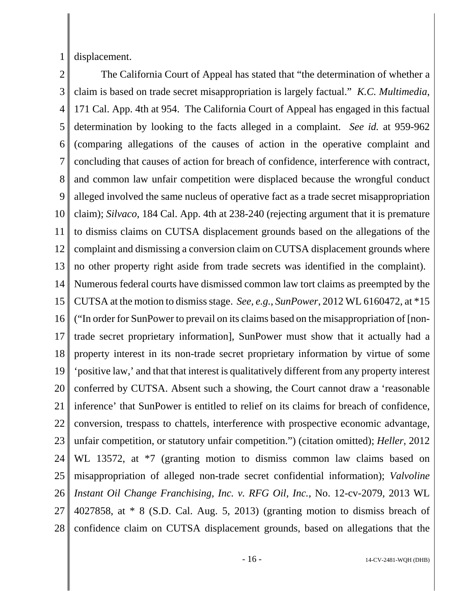1 displacement.

2 3 4 5 6 7 8 9 10 11 12 13 14 15 16 17 18 19 20 21 22 23 24 25 26 27 The California Court of Appeal has stated that "the determination of whether a claim is based on trade secret misappropriation is largely factual." *K.C. Multimedia*, 171 Cal. App. 4th at 954. The California Court of Appeal has engaged in this factual determination by looking to the facts alleged in a complaint. *See id.* at 959-962 (comparing allegations of the causes of action in the operative complaint and concluding that causes of action for breach of confidence, interference with contract, and common law unfair competition were displaced because the wrongful conduct alleged involved the same nucleus of operative fact as a trade secret misappropriation claim); *Silvaco*, 184 Cal. App. 4th at 238-240 (rejecting argument that it is premature to dismiss claims on CUTSA displacement grounds based on the allegations of the complaint and dismissing a conversion claim on CUTSA displacement grounds where no other property right aside from trade secrets was identified in the complaint). Numerous federal courts have dismissed common law tort claims as preempted by the CUTSA at the motion to dismiss stage. *See, e.g.*, *SunPower*, 2012 WL 6160472, at \*15 ("In order for SunPower to prevail on its claims based on the misappropriation of [nontrade secret proprietary information], SunPower must show that it actually had a property interest in its non-trade secret proprietary information by virtue of some 'positive law,' and that that interest is qualitatively different from any property interest conferred by CUTSA. Absent such a showing, the Court cannot draw a 'reasonable inference' that SunPower is entitled to relief on its claims for breach of confidence, conversion, trespass to chattels, interference with prospective economic advantage, unfair competition, or statutory unfair competition.") (citation omitted); *Heller*, 2012 WL 13572, at  $*7$  (granting motion to dismiss common law claims based on misappropriation of alleged non-trade secret confidential information); *Valvoline Instant Oil Change Franchising, Inc. v. RFG Oil, Inc.*, No. 12-cv-2079, 2013 WL 4027858, at  $*$  8 (S.D. Cal. Aug. 5, 2013) (granting motion to dismiss breach of

28 confidence claim on CUTSA displacement grounds, based on allegations that the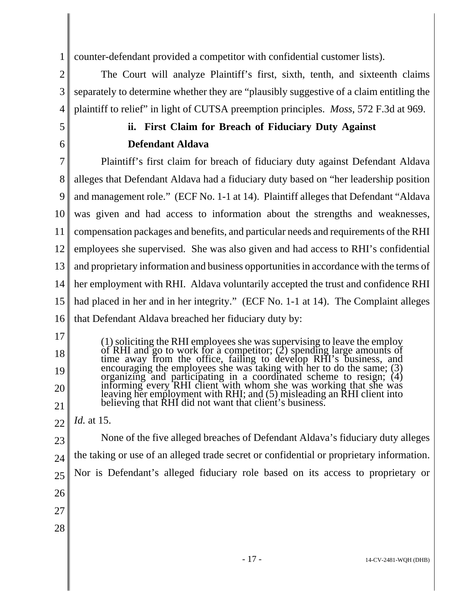1 counter-defendant provided a competitor with confidential customer lists).

2 3 4 The Court will analyze Plaintiff's first, sixth, tenth, and sixteenth claims separately to determine whether they are "plausibly suggestive of a claim entitling the plaintiff to relief" in light of CUTSA preemption principles. *Moss*, 572 F.3d at 969.

### **ii. First Claim for Breach of Fiduciary Duty Against Defendant Aldava**

7 8 9 10 11 12 13 14 15 16 Plaintiff's first claim for breach of fiduciary duty against Defendant Aldava alleges that Defendant Aldava had a fiduciary duty based on "her leadership position and management role." (ECF No. 1-1 at 14). Plaintiff alleges that Defendant "Aldava was given and had access to information about the strengths and weaknesses, compensation packages and benefits, and particular needs and requirements of the RHI employees she supervised. She was also given and had access to RHI's confidential and proprietary information and business opportunities in accordance with the terms of her employment with RHI. Aldava voluntarily accepted the trust and confidence RHI had placed in her and in her integrity." (ECF No. 1-1 at 14). The Complaint alleges that Defendant Aldava breached her fiduciary duty by:

(1) soliciting the RHI employees she was supervising to leave the employ of RHI and go to work for a competitor; (2) spending large amounts of time away from the office, failing to develop RHI's business, and encouraging the employees she was taking with her to do the same; (3) organizing and participating in a coordinated scheme to resign;  $(4)$ informing every RHI client with whom she was working that she was leaving her employment with RHI; and (5) misleading an RHI client into believing that RHI did not want that client's business.

22 *Id.* at 15.

5

6

17

18

19

20

21

23 24 25 26 27 28 None of the five alleged breaches of Defendant Aldava's fiduciary duty alleges the taking or use of an alleged trade secret or confidential or proprietary information. Nor is Defendant's alleged fiduciary role based on its access to proprietary or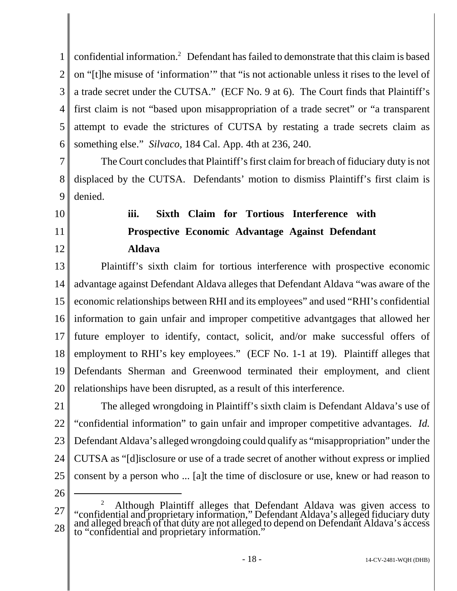1 2 3 4 5 6 confidential information.<sup>2</sup> Defendant has failed to demonstrate that this claim is based on "[t]he misuse of 'information'" that "is not actionable unless it rises to the level of a trade secret under the CUTSA." (ECF No. 9 at 6). The Court finds that Plaintiff's first claim is not "based upon misappropriation of a trade secret" or "a transparent attempt to evade the strictures of CUTSA by restating a trade secrets claim as something else." *Silvaco*, 184 Cal. App. 4th at 236, 240.

7 8 9 The Court concludes that Plaintiff's first claim for breach of fiduciary duty is not displaced by the CUTSA. Defendants' motion to dismiss Plaintiff's first claim is denied.

10

11

12

### **iii. Sixth Claim for Tortious Interference with Prospective Economic Advantage Against Defendant Aldava**

13 14 15 16 17 18 19 20 Plaintiff's sixth claim for tortious interference with prospective economic advantage against Defendant Aldava alleges that Defendant Aldava "was aware of the economic relationships between RHI and its employees" and used "RHI's confidential information to gain unfair and improper competitive advantgages that allowed her future employer to identify, contact, solicit, and/or make successful offers of employment to RHI's key employees." (ECF No. 1-1 at 19). Plaintiff alleges that Defendants Sherman and Greenwood terminated their employment, and client relationships have been disrupted, as a result of this interference.

21 22 23 24 25 The alleged wrongdoing in Plaintiff's sixth claim is Defendant Aldava's use of "confidential information" to gain unfair and improper competitive advantages. *Id.* Defendant Aldava's alleged wrongdoing could qualify as "misappropriation" under the CUTSA as "[d]isclosure or use of a trade secret of another without express or implied consent by a person who ... [a]t the time of disclosure or use, knew or had reason to

26

<sup>27</sup> 28 <sup>2</sup> Although Plaintiff alleges that Defendant Aldava was given access to "confidential and proprietary information," Defendant Aldava's alleged fiduciary duty and alleged breach of that duty are not alleged to depend on Defendant Aldava's access to "confidential and proprietary information."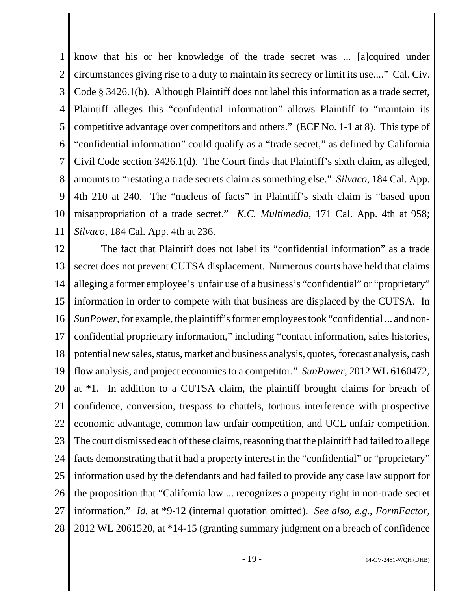1 2 3 4 5 6 7 8 9 10 11 know that his or her knowledge of the trade secret was ... [a]cquired under circumstances giving rise to a duty to maintain its secrecy or limit its use...." Cal. Civ. Code § 3426.1(b). Although Plaintiff does not label this information as a trade secret, Plaintiff alleges this "confidential information" allows Plaintiff to "maintain its competitive advantage over competitors and others." (ECF No. 1-1 at 8). This type of "confidential information" could qualify as a "trade secret," as defined by California Civil Code section 3426.1(d). The Court finds that Plaintiff's sixth claim, as alleged, amounts to "restating a trade secrets claim as something else." *Silvaco*, 184 Cal. App. 4th 210 at 240. The "nucleus of facts" in Plaintiff's sixth claim is "based upon misappropriation of a trade secret." *K.C. Multimedia*, 171 Cal. App. 4th at 958; *Silvaco*, 184 Cal. App. 4th at 236.

12 13 14 15 16 17 18 19 20 21 22 23 24 25 26 27 28 The fact that Plaintiff does not label its "confidential information" as a trade secret does not prevent CUTSA displacement. Numerous courts have held that claims alleging a former employee's unfair use of a business's "confidential" or "proprietary" information in order to compete with that business are displaced by the CUTSA. In *SunPower*, for example, the plaintiff's former employees took "confidential ... and nonconfidential proprietary information," including "contact information, sales histories, potential new sales, status, market and business analysis, quotes, forecast analysis, cash flow analysis, and project economics to a competitor." *SunPower*, 2012 WL 6160472, at \*1. In addition to a CUTSA claim, the plaintiff brought claims for breach of confidence, conversion, trespass to chattels, tortious interference with prospective economic advantage, common law unfair competition, and UCL unfair competition. The court dismissed each of these claims, reasoning that the plaintiff had failed to allege facts demonstrating that it had a property interest in the "confidential" or "proprietary" information used by the defendants and had failed to provide any case law support for the proposition that "California law ... recognizes a property right in non-trade secret information." *Id.* at \*9-12 (internal quotation omitted). *See also, e.g.*, *FormFactor*, 2012 WL 2061520, at \*14-15 (granting summary judgment on a breach of confidence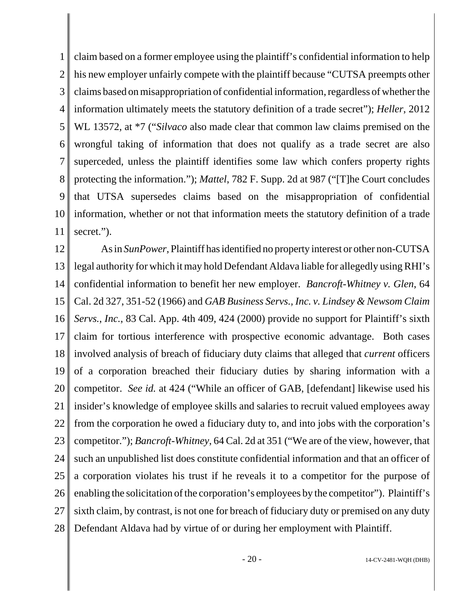1 2 3 4 5 6 7 8 9 10 11 claim based on a former employee using the plaintiff's confidential information to help his new employer unfairly compete with the plaintiff because "CUTSA preempts other claims based on misappropriation of confidential information, regardless of whether the information ultimately meets the statutory definition of a trade secret"); *Heller*, 2012 WL 13572, at \*7 ("*Silvaco* also made clear that common law claims premised on the wrongful taking of information that does not qualify as a trade secret are also superceded, unless the plaintiff identifies some law which confers property rights protecting the information."); *Mattel*, 782 F. Supp. 2d at 987 ("[T]he Court concludes that UTSA supersedes claims based on the misappropriation of confidential information, whether or not that information meets the statutory definition of a trade secret.").

12 13 14 15 16 17 18 19 20 21 22 23 24 25 26 27 28 As in *SunPower*, Plaintiff has identified no property interest or other non-CUTSA legal authority for which it may hold Defendant Aldava liable for allegedly using RHI's confidential information to benefit her new employer. *Bancroft-Whitney v. Glen*, 64 Cal. 2d 327, 351-52 (1966) and *GAB Business Servs., Inc. v. Lindsey & Newsom Claim Servs.*, *Inc.*, 83 Cal. App. 4th 409, 424 (2000) provide no support for Plaintiff's sixth claim for tortious interference with prospective economic advantage. Both cases involved analysis of breach of fiduciary duty claims that alleged that *current* officers of a corporation breached their fiduciary duties by sharing information with a competitor. *See id.* at 424 ("While an officer of GAB, [defendant] likewise used his insider's knowledge of employee skills and salaries to recruit valued employees away from the corporation he owed a fiduciary duty to, and into jobs with the corporation's competitor."); *Bancroft-Whitney*, 64 Cal. 2d at 351 ("We are of the view, however, that such an unpublished list does constitute confidential information and that an officer of a corporation violates his trust if he reveals it to a competitor for the purpose of enabling the solicitation of the corporation's employees by the competitor"). Plaintiff's sixth claim, by contrast, is not one for breach of fiduciary duty or premised on any duty Defendant Aldava had by virtue of or during her employment with Plaintiff.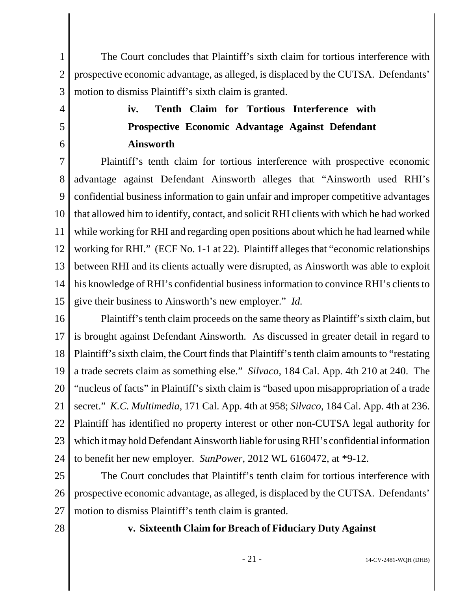1 2 3 The Court concludes that Plaintiff's sixth claim for tortious interference with prospective economic advantage, as alleged, is displaced by the CUTSA. Defendants' motion to dismiss Plaintiff's sixth claim is granted.

## **iv. Tenth Claim for Tortious Interference with Prospective Economic Advantage Against Defendant Ainsworth**

7 8 9 10 11 12 13 14 15 Plaintiff's tenth claim for tortious interference with prospective economic advantage against Defendant Ainsworth alleges that "Ainsworth used RHI's confidential business information to gain unfair and improper competitive advantages that allowed him to identify, contact, and solicit RHI clients with which he had worked while working for RHI and regarding open positions about which he had learned while working for RHI." (ECF No. 1-1 at 22). Plaintiff alleges that "economic relationships between RHI and its clients actually were disrupted, as Ainsworth was able to exploit his knowledge of RHI's confidential business information to convince RHI's clients to give their business to Ainsworth's new employer." *Id.*

16 17 18 19 20 21 22 23 24 Plaintiff's tenth claim proceeds on the same theory as Plaintiff's sixth claim, but is brought against Defendant Ainsworth. As discussed in greater detail in regard to Plaintiff's sixth claim, the Court finds that Plaintiff's tenth claim amounts to "restating a trade secrets claim as something else." *Silvaco*, 184 Cal. App. 4th 210 at 240. The "nucleus of facts" in Plaintiff's sixth claim is "based upon misappropriation of a trade secret." *K.C. Multimedia*, 171 Cal. App. 4th at 958; *Silvaco*, 184 Cal. App. 4th at 236. Plaintiff has identified no property interest or other non-CUTSA legal authority for which it may hold Defendant Ainsworth liable for using RHI's confidential information to benefit her new employer. *SunPower*, 2012 WL 6160472, at \*9-12.

25 26 27 The Court concludes that Plaintiff's tenth claim for tortious interference with prospective economic advantage, as alleged, is displaced by the CUTSA. Defendants' motion to dismiss Plaintiff's tenth claim is granted.

28

4

5

6

### **v. Sixteenth Claim for Breach of Fiduciary Duty Against**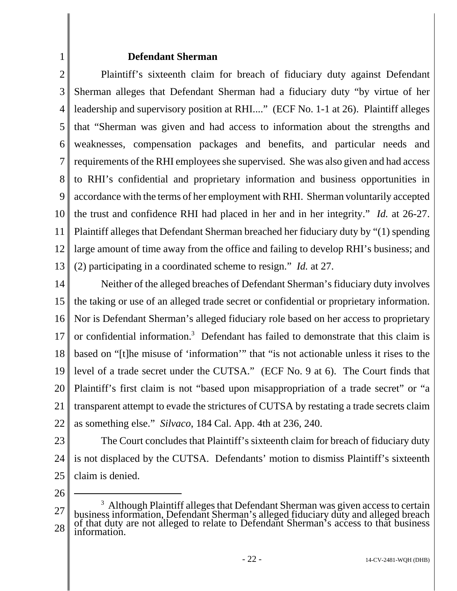#### **Defendant Sherman**

2 3 4 5 6 7 8 9 10 11 12 13 Plaintiff's sixteenth claim for breach of fiduciary duty against Defendant Sherman alleges that Defendant Sherman had a fiduciary duty "by virtue of her leadership and supervisory position at RHI...." (ECF No. 1-1 at 26). Plaintiff alleges that "Sherman was given and had access to information about the strengths and weaknesses, compensation packages and benefits, and particular needs and requirements of the RHI employees she supervised. She was also given and had access to RHI's confidential and proprietary information and business opportunities in accordance with the terms of her employment with RHI. Sherman voluntarily accepted the trust and confidence RHI had placed in her and in her integrity." *Id.* at 26-27. Plaintiff alleges that Defendant Sherman breached her fiduciary duty by "(1) spending large amount of time away from the office and failing to develop RHI's business; and (2) participating in a coordinated scheme to resign." *Id.* at 27.

14 15 16 17 18 19 20 21 22 Neither of the alleged breaches of Defendant Sherman's fiduciary duty involves the taking or use of an alleged trade secret or confidential or proprietary information. Nor is Defendant Sherman's alleged fiduciary role based on her access to proprietary or confidential information.<sup>3</sup> Defendant has failed to demonstrate that this claim is based on "[t]he misuse of 'information'" that "is not actionable unless it rises to the level of a trade secret under the CUTSA." (ECF No. 9 at 6). The Court finds that Plaintiff's first claim is not "based upon misappropriation of a trade secret" or "a transparent attempt to evade the strictures of CUTSA by restating a trade secrets claim as something else." *Silvaco*, 184 Cal. App. 4th at 236, 240.

23 24 25 The Court concludes that Plaintiff's sixteenth claim for breach of fiduciary duty is not displaced by the CUTSA. Defendants' motion to dismiss Plaintiff's sixteenth claim is denied.

26

1

<sup>27</sup> 28 <sup>3</sup> Although Plaintiff alleges that Defendant Sherman was given access to certain business information, Defendant Sherman's alleged fiduciary duty and alleged breach of that duty are not alleged to relate to Defendant Sherman's access to that business information.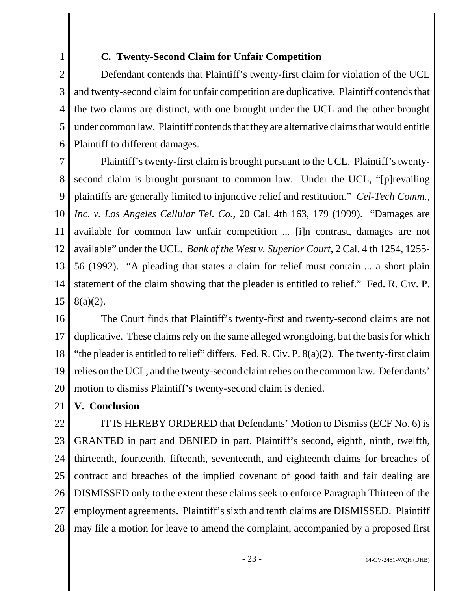# 2

1

### **C. Twenty-Second Claim for Unfair Competition**

3 4 5 6 Defendant contends that Plaintiff's twenty-first claim for violation of the UCL and twenty-second claim for unfair competition are duplicative. Plaintiff contends that the two claims are distinct, with one brought under the UCL and the other brought under common law. Plaintiff contends that they are alternative claims that would entitle Plaintiff to different damages.

7 8 9 10 11 12 13 14 15 Plaintiff's twenty-first claim is brought pursuant to the UCL. Plaintiff's twentysecond claim is brought pursuant to common law. Under the UCL, "[p]revailing plaintiffs are generally limited to injunctive relief and restitution." *Cel-Tech Comm., Inc. v. Los Angeles Cellular Tel. Co.*, 20 Cal. 4th 163, 179 (1999). "Damages are available for common law unfair competition ... [i]n contrast, damages are not available" under the UCL. *Bank of the West v. Superior Court*, 2 Cal. 4 th 1254, 1255- 56 (1992). "A pleading that states a claim for relief must contain ... a short plain statement of the claim showing that the pleader is entitled to relief." Fed. R. Civ. P. 8(a)(2).

16 17 18 19 20 The Court finds that Plaintiff's twenty-first and twenty-second claims are not duplicative. These claims rely on the same alleged wrongdoing, but the basis for which "the pleader is entitled to relief" differs. Fed. R. Civ. P. 8(a)(2). The twenty-first claim relies on the UCL, and the twenty-second claim relies on the common law. Defendants' motion to dismiss Plaintiff's twenty-second claim is denied.

21 **V. Conclusion** 

22

23 24 25 26 27 28 IT IS HEREBY ORDERED that Defendants' Motion to Dismiss (ECF No. 6) is GRANTED in part and DENIED in part. Plaintiff's second, eighth, ninth, twelfth, thirteenth, fourteenth, fifteenth, seventeenth, and eighteenth claims for breaches of contract and breaches of the implied covenant of good faith and fair dealing are DISMISSED only to the extent these claims seek to enforce Paragraph Thirteen of the employment agreements. Plaintiff's sixth and tenth claims are DISMISSED. Plaintiff may file a motion for leave to amend the complaint, accompanied by a proposed first